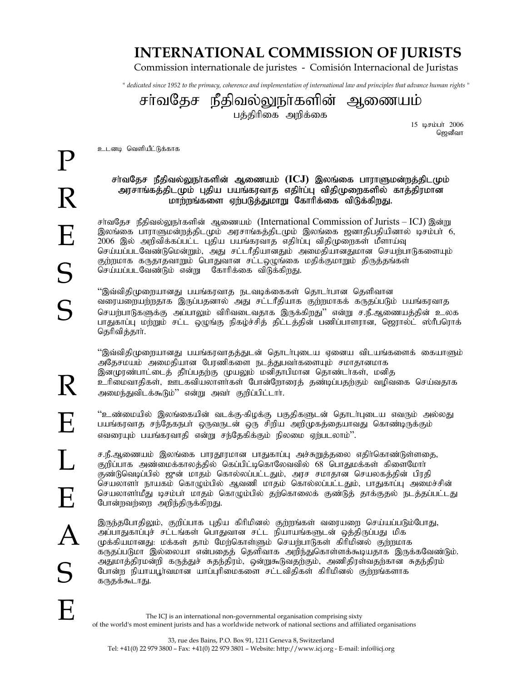## **INTERNATIONAL COMMISSION OF JURISTS**

Commission internationale de juristes - Comisión Internacional de Juristas

*" dedicated since 1952 to the primacy, coherence and implementation of international law and principles that advance human rights "*

சா்வதேச நீதிவல்லுநா்களின் ஆணையம் பத்திரிகை அறிக்கை

15 டிசம்பர் 2006 ஜெனீவா

உடனடி வெளியீட்டுக்காக

## சர்வதேச நீதிவல்லுநாகளின் ஆணையம் (ICJ) இலங்கை பாராளுமன்றத்திடமும் அரசாங்கத்திடமும் புதிய பயங்கரவாத எதிா்ப்பு விதிமுறைகளில் காத்திரமான மாற்றங்களை ஏற்படுத்துமாறு கோரிக்கை விடுக்கிறது.

சர்வதேச நீதிவல்லுநா்களின் ஆணையம் (International Commission of Jurists – ICJ) இன்று இலங்கை பாராளுமன்றத்திடமும் அரசாங்கத்திடமும் இலங்கை ஜனாதிபதியினால் டிசம்பா் 6, 2006 இல் அறிவிக்கப்பட்ட புதிய பயங்கரவாத எதிா்ப்பு விதிமுறைகள் மீளாய்வு செய்யப்படவேண்டுமென்றும், அது சட்டரீதியானதும் அமைதியானதுமான செயற்பாடுகளையும் குற்றமாக கருதாதவாறும் பொதுவான சட்டஒழுங்கை மதிக்குமாறும் திருத்தங்கள் செய்யப்படவேண்டும் என்று கோரிக்கை விடுக்கிறது.

 $\lq\lq$ வ்விதிமுறையானது பயங்கரவாத நடவடிக்கைகள் தொடர்பான தெளிவான வரையறையற்றதாக இருப்பதனால் அது சட்டரீதியாக குற்றமாகக் கருதப்படும் பயங்கரவாத செயற்பாடுகளுக்கு அப்பாலும் விரிவடைவதாக இருக்கிறது'' என்று ச.நீ.ஆணையத்தின் உலக பாதுகாப்பு மற்றும் சட்ட ஒழுங்கு நிகழ்ச்சித் திட்டத்தின் பணிப்பாளரான, ஜெரால்ட் ஸ்ரீபரொக் தெரிவித்தார்.

''இவ்விதிமுறையானது பயங்கரவாதத்துடன் தொடர்புடைய ஏனைய விடயங்களைக் கையாளும் அதேசமயம் அமைதியான பேரணிகளை நடத்துபவர்களையும் சமாதானமாக இனமுரண்பாட்டைத் தீர்ப்பதற்கு முயலும் மனிதாபிமான தொண்டர்கள், மனித உரிமைவாதிகள், ஊடகவியலாளா்கள் போன்றோரைத் தண்டிப்பதற்கும் வழிவகை செய்வதாக அமைந்துவிடக்கூடும்'' என்று அவர் குறிப்பிட்டார்.

 $\lq\lq$ ூண்மையில் இலங்கையின் வடக்கு-கிழக்கு பகுதிகளுடன் தொடர்புடைய எவரும் அல்லது பயங்கரவாத சந்தேகநபா் ஒருவருடன் ஒரு சிறிய அறிமுகத்தையாவது கொண்டிருக்கும் எவரையும் பயங்கரவாதி என்று சந்தேகிக்கும் நிலமை ஏற்படலாம்''.

ச.நீ.ஆணையம் இலங்கை பாரதூரமான பாதுகாப்பு அச்சுறுத்தலை எதிர்கொண்டுள்ளதை, குறிப்பாக அண்மைக்காலத்தில் கெப்பிட்டிகொலேவவில் 68 பொதுமக்கள் கிளைமோர் குண்டுவெடிப்பில் ஜுன் மாதம் கொல்லப்பட்டதும், அரச சமாதான செயலகத்தின் பிரதி செயலாளா் நாயகம் கொழும்பில் ஆவணி மாதம் கொல்லப்பட்டதும், பாதுகாப்பு அமைச்சின் செயலாளா்மீது டிசம்பா் மாதம் கொமும்பில் தற்கொலைக் குண்டுத் தாக்குதல் நடத்தப்பட்டது போன்றவர்ளை அறிந்திருக்கிறது.

இருந்தபோதிலும், குறிப்பாக புதிய கிரிமினல் குற்றங்கள் வரையறை செய்யப்படும்போது, அப்பாதுகாப்புச் சட்டங்கள் பொதுவான சட்ட நியாயங்களுடன் ஒத்திருப்பது மிக முக்கியமானது: மக்கள் தாம் மேற்கொள்ளும் செயற்பாடுகள் கிரிமினல் குற்றமாக கருதப்படுமா இல்லையா என்பதைத் தெளிவாக அறிந்துகொள்ளக்கூடியதாக இருக்கவேண்டும். அதுமாத்திரமன்றி கருத்துச் சுதந்திரம், ஒன்றுகூடுவதற்கும், அணிதிரள்வதற்கான சுதந்திரம் போன்ற நியாயபூர்வமான யாப்புரிமைகளை சட்டவிதிகள் கிரிமினல் குற்றங்களாக கருதக்கூடாது.

The ICJ is an international non-governmental organisation comprising sixty of the world's most eminent jurists and has a worldwide network of national sections and affiliated organisations

R

E

 $\Gamma$ 

E

A

S

E